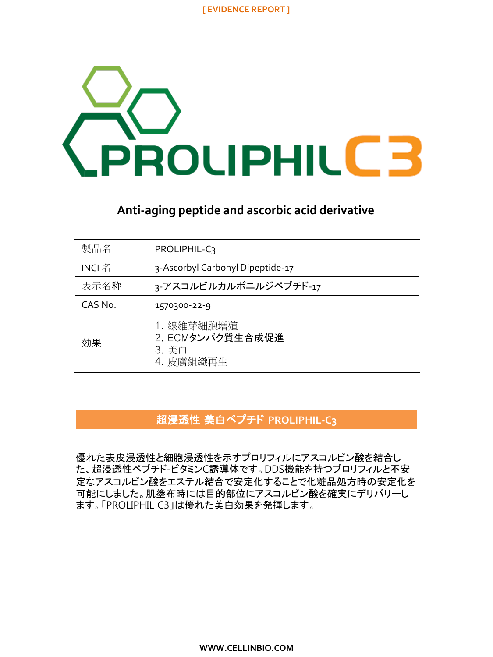

## **Anti-aging peptide and ascorbic acid derivative**

| 製品名         | PROLIPHIL-C3                                         |
|-------------|------------------------------------------------------|
| INCI $\,$ 名 | 3-Ascorbyl Carbonyl Dipeptide-17                     |
| 表示名称        | 3-アスコルビルカルボニルジペプチド-17                                |
| CAS No.     | 1570300-22-9                                         |
| 効果          | 1. 線維芽細胞増殖<br>2. ECMタンパク質生合成促進<br>3. 美白<br>4. 皮膚組織再生 |

# 超浸透性 美白ペプチド **PROLIPHIL-C3**

優れた表皮浸透性と細胞浸透性を示すプロリフィルにアスコルビン酸を結合し た、超浸透性ペプチド-ビタミンC誘導体です。DDS機能を持つプロリフィルと不安 定なアスコルビン酸をエステル結合で安定化することで化粧品処方時の安定化を 可能にしました。肌塗布時には目的部位にアスコルビン酸を確実にデリバリーし ます。「PROLIPHIL C3」は優れた美白効果を発揮します。